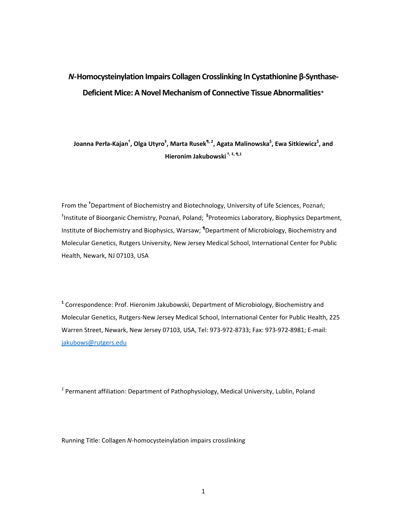# *N***-Homocysteinylation Impairs Collagen Crosslinking In Cystathionine β-Synthase-Deficient Mice: A Novel Mechanism of Connective Tissue Abnormalities**\*

**Joanna Perła-Kajan† , Olga Utyro‡ , Marta Rusek¶, 2, Agata Malinowska\$ , Ewa Sitkiewicz\$ , and Hieronim Jakubowski †, ‡, ¶,1**

From the **†** Department of Biochemistry and Biotechnology, University of Life Sciences, Poznań; ‡ Institute of Bioorganic Chemistry, Poznań, Poland; **\$**Proteomics Laboratory, Biophysics Department, Institute of Biochemistry and Biophysics, Warsaw; **¶** Department of Microbiology, Biochemistry and Molecular Genetics, Rutgers University, New Jersey Medical School, International Center for Public Health, Newark, NJ 07103, USA

**1** Correspondence: Prof. Hieronim Jakubowski, Department of Microbiology, Biochemistry and Molecular Genetics, Rutgers-New Jersey Medical School, International Center for Public Health, 225 Warren Street, Newark, New Jersey 07103, USA, Tel: 973-972-8733; Fax: 973-972-8981; E-mail: jakubows@rutgers.edu

<sup>2</sup> Permanent affiliation: Department of Pathophysiology, Medical University, Lublin, Poland

Running Title: Collagen *N*-homocysteinylation impairs crosslinking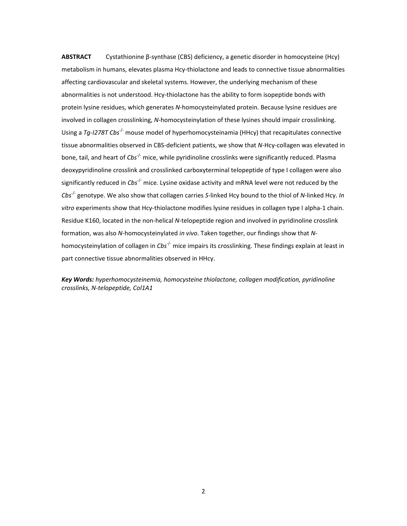**ABSTRACT** Cystathionine β-synthase (CBS) deficiency, a genetic disorder in homocysteine (Hcy) metabolism in humans, elevates plasma Hcy-thiolactone and leads to connective tissue abnormalities affecting cardiovascular and skeletal systems. However, the underlying mechanism of these abnormalities is not understood. Hcy-thiolactone has the ability to form isopeptide bonds with protein lysine residues, which generates *N*-homocysteinylated protein. Because lysine residues are involved in collagen crosslinking, *N*-homocysteinylation of these lysines should impair crosslinking. Using a *Tg-I278T Cbs*-/- mouse model of hyperhomocysteinamia (HHcy) that recapitulates connective tissue abnormalities observed in CBS-deficient patients, we show that *N*-Hcy-collagen was elevated in bone, tail, and heart of *Cbs*-/- mice, while pyridinoline crosslinks were significantly reduced. Plasma deoxypyridinoline crosslink and crosslinked carboxyterminal telopeptide of type I collagen were also significantly reduced in *Cbs<sup>-/-</sup>* mice. Lysine oxidase activity and mRNA level were not reduced by the *Cbs*-/- genotype. We also show that collagen carries *S*-linked Hcy bound to the thiol of *N*-linked Hcy. *In vitro* experiments show that Hcy-thiolactone modifies lysine residues in collagen type I alpha-1 chain. Residue K160, located in the non-helical *N*-telopeptide region and involved in pyridinoline crosslink formation, was also *N*-homocysteinylated *in vivo*. Taken together, our findings show that *N*homocysteinylation of collagen in *Cbs*-/- mice impairs its crosslinking. These findings explain at least in part connective tissue abnormalities observed in HHcy.

*Key Words: hyperhomocysteinemia, homocysteine thiolactone, collagen modification, pyridinoline crosslinks, N-telopeptide, Col1A1*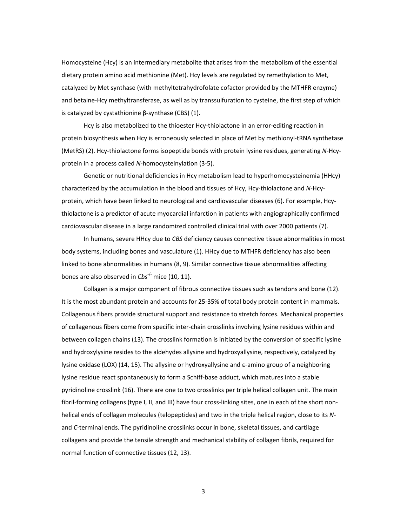Homocysteine (Hcy) is an intermediary metabolite that arises from the metabolism of the essential dietary protein amino acid methionine (Met). Hcy levels are regulated by remethylation to Met, catalyzed by Met synthase (with methyltetrahydrofolate cofactor provided by the MTHFR enzyme) and betaine-Hcy methyltransferase, as well as by transsulfuration to cysteine, the first step of which is catalyzed by cystathionine β-synthase (CBS) (1).

Hcy is also metabolized to the thioester Hcy-thiolactone in an error-editing reaction in protein biosynthesis when Hcy is erroneously selected in place of Met by methionyl-tRNA synthetase (MetRS) (2). Hcy-thiolactone forms isopeptide bonds with protein lysine residues, generating *N*-Hcyprotein in a process called *N*-homocysteinylation (3-5).

Genetic or nutritional deficiencies in Hcy metabolism lead to hyperhomocysteinemia (HHcy) characterized by the accumulation in the blood and tissues of Hcy, Hcy-thiolactone and *N*-Hcyprotein, which have been linked to neurological and cardiovascular diseases (6). For example, Hcythiolactone is a predictor of acute myocardial infarction in patients with angiographically confirmed cardiovascular disease in a large randomized controlled clinical trial with over 2000 patients (7).

In humans, severe HHcy due to *CBS* deficiency causes connective tissue abnormalities in most body systems, including bones and vasculature (1). HHcy due to MTHFR deficiency has also been linked to bone abnormalities in humans (8, 9). Similar connective tissue abnormalities affecting bones are also observed in *Cbs*-/- mice (10, 11).

Collagen is a major component of fibrous connective tissues such as tendons and bone (12). It is the most abundant protein and accounts for 25-35% of total body protein content in mammals. Collagenous fibers provide structural support and resistance to stretch forces. Mechanical properties of collagenous fibers come from specific inter-chain crosslinks involving lysine residues within and between collagen chains (13). The crosslink formation is initiated by the conversion of specific lysine and hydroxylysine resides to the aldehydes allysine and hydroxyallysine, respectively, catalyzed by lysine oxidase (LOX) (14, 15). The allysine or hydroxyallysine and ε-amino group of a neighboring lysine residue react spontaneously to form a Schiff-base adduct, which matures into a stable pyridinoline crosslink (16). There are one to two crosslinks per triple helical collagen unit. The main fibril-forming collagens (type I, II, and III) have four cross-linking sites, one in each of the short nonhelical ends of collagen molecules (telopeptides) and two in the triple helical region, close to its *N*and *C*-terminal ends. The pyridinoline crosslinks occur in bone, skeletal tissues, and cartilage collagens and provide the tensile strength and mechanical stability of collagen fibrils, required for normal function of connective tissues (12, 13).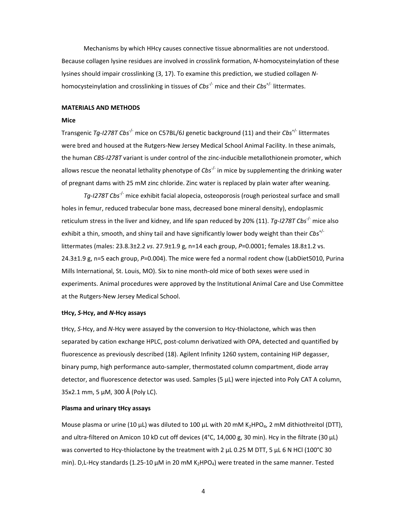Mechanisms by which HHcy causes connective tissue abnormalities are not understood. Because collagen lysine residues are involved in crosslink formation, *N*-homocysteinylation of these lysines should impair crosslinking (3, 17). To examine this prediction, we studied collagen *N*homocysteinylation and crosslinking in tissues of *Cbs<sup>-/-</sup>* mice and their *Cbs<sup>+/-</sup>* littermates.

# **MATERIALS AND METHODS**

# **Mice**

Transgenic *Tg-I278T Cbs*-/- mice on C57BL/6J genetic background (11) and their *Cbs*+/- littermates were bred and housed at the Rutgers-New Jersey Medical School Animal Facility. In these animals, the human *CBS-I278T* variant is under control of the zinc-inducible metallothionein promoter, which allows rescue the neonatal lethality phenotype of *Cbs<sup>-/-</sup>* in mice by supplementing the drinking water of pregnant dams with 25 mM zinc chloride. Zinc water is replaced by plain water after weaning.

*Tg-I278T Cbs*-/- mice exhibit facial alopecia, osteoporosis (rough periosteal surface and small holes in femur, reduced trabecular bone mass, decreased bone mineral density), endoplasmic reticulum stress in the liver and kidney, and life span reduced by 20% (11). *Tg-I278T Cbs*-/- mice also exhibit a thin, smooth, and shiny tail and have significantly lower body weight than their *Cbs*+/ littermates (males: 23.8.3±2.2 *vs*. 27.9±1.9 g, n=14 each group, *P*=0.0001; females 18.8±1.2 vs. 24.3±1.9 g, n=5 each group, *P*=0.004). The mice were fed a normal rodent chow (LabDiet5010, Purina Mills International, St. Louis, MO). Six to nine month-old mice of both sexes were used in experiments. Animal procedures were approved by the Institutional Animal Care and Use Committee at the Rutgers-New Jersey Medical School.

#### **tHcy,** *S***-Hcy, and** *N***-Hcy assays**

tHcy, *S*-Hcy, and *N*-Hcy were assayed by the conversion to Hcy-thiolactone, which was then separated by cation exchange HPLC, post-column derivatized with OPA, detected and quantified by fluorescence as previously described (18). Agilent Infinity 1260 system, containing HiP degasser, binary pump, high performance auto-sampler, thermostated column compartment, diode array detector, and fluorescence detector was used. Samples (5 µL) were injected into Poly CAT A column, 35x2.1 mm, 5 µM, 300 Å (Poly LC).

#### **Plasma and urinary tHcy assays**

Mouse plasma or urine (10 µL) was diluted to 100 µL with 20 mM K<sub>2</sub>HPO<sub>4</sub>, 2 mM dithiothreitol (DTT), and ultra-filtered on Amicon 10 kD cut off devices (4°C, 14,000 g, 30 min). Hcy in the filtrate (30  $\mu$ L) was converted to Hcy-thiolactone by the treatment with 2 µL 0.25 M DTT, 5 µL 6 N HCl (100°C 30 min). D,L-Hcy standards (1.25-10  $\mu$ M in 20 mM K<sub>2</sub>HPO<sub>4</sub>) were treated in the same manner. Tested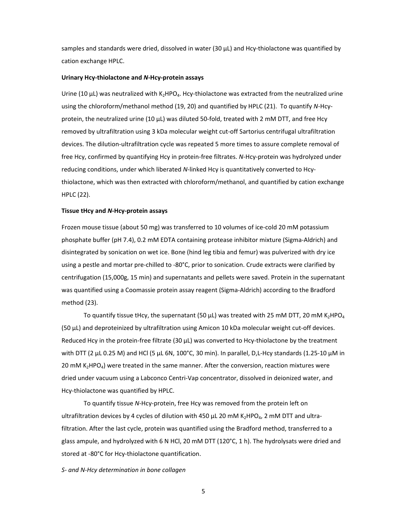samples and standards were dried, dissolved in water (30  $\mu$ L) and Hcy-thiolactone was quantified by cation exchange HPLC.

# **Urinary Hcy-thiolactone and** *N***-Hcy-protein assays**

Urine (10  $\mu$ L) was neutralized with K<sub>2</sub>HPO<sub>4</sub>. Hcy-thiolactone was extracted from the neutralized urine using the chloroform/methanol method (19, 20) and quantified by HPLC (21). To quantify *N*-Hcyprotein, the neutralized urine (10 µL) was diluted 50-fold, treated with 2 mM DTT, and free Hcy removed by ultrafiltration using 3 kDa molecular weight cut-off Sartorius centrifugal ultrafiltration devices. The dilution-ultrafiltration cycle was repeated 5 more times to assure complete removal of free Hcy, confirmed by quantifying Hcy in protein-free filtrates. *N*-Hcy-protein was hydrolyzed under reducing conditions, under which liberated *N*-linked Hcy is quantitatively converted to Hcythiolactone, which was then extracted with chloroform/methanol, and quantified by cation exchange HPLC (22).

#### **Tissue tHcy and** *N***-Hcy-protein assays**

Frozen mouse tissue (about 50 mg) was transferred to 10 volumes of ice-cold 20 mM potassium phosphate buffer (pH 7.4), 0.2 mM EDTA containing protease inhibitor mixture (Sigma-Aldrich) and disintegrated by sonication on wet ice. Bone (hind leg tibia and femur) was pulverized with dry ice using a pestle and mortar pre-chilled to -80°C, prior to sonication. Crude extracts were clarified by centrifugation (15,000g, 15 min) and supernatants and pellets were saved. Protein in the supernatant was quantified using a Coomassie protein assay reagent (Sigma-Aldrich) according to the Bradford method (23).

To quantify tissue tHcy, the supernatant (50  $\mu$ L) was treated with 25 mM DTT, 20 mM K<sub>2</sub>HPO<sub>4</sub> (50 µL) and deproteinized by ultrafiltration using Amicon 10 kDa molecular weight cut-off devices. Reduced Hcy in the protein-free filtrate (30 µL) was converted to Hcy-thiolactone by the treatment with DTT (2  $\mu$ L 0.25 M) and HCl (5  $\mu$ L 6N, 100°C, 30 min). In parallel, D,L-Hcy standards (1.25-10  $\mu$ M in 20 mM  $K_2HPO_4$ ) were treated in the same manner. After the conversion, reaction mixtures were dried under vacuum using a Labconco Centri-Vap concentrator, dissolved in deionized water, and Hcy-thiolactone was quantified by HPLC.

To quantify tissue *N*-Hcy-protein, free Hcy was removed from the protein left on ultrafiltration devices by 4 cycles of dilution with 450  $\mu$ L 20 mM K<sub>2</sub>HPO<sub>4</sub>, 2 mM DTT and ultrafiltration. After the last cycle, protein was quantified using the Bradford method, transferred to a glass ampule, and hydrolyzed with 6 N HCl, 20 mM DTT (120°C, 1 h). The hydrolysats were dried and stored at -80°C for Hcy-thiolactone quantification.

*S- and N-Hcy determination in bone collagen*

 $\sim$  5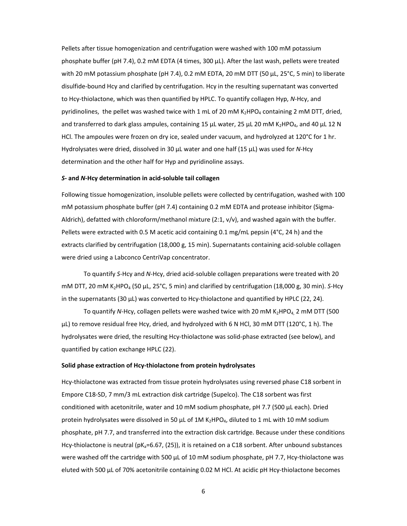Pellets after tissue homogenization and centrifugation were washed with 100 mM potassium phosphate buffer (pH 7.4), 0.2 mM EDTA (4 times, 300 µL). After the last wash, pellets were treated with 20 mM potassium phosphate (pH 7.4), 0.2 mM EDTA, 20 mM DTT (50 µL, 25°C, 5 min) to liberate disulfide-bound Hcy and clarified by centrifugation. Hcy in the resulting supernatant was converted to Hcy-thiolactone, which was then quantified by HPLC. To quantify collagen Hyp, *N*-Hcy, and pyridinolines, the pellet was washed twice with 1 mL of 20 mM  $K_2HPO_4$  containing 2 mM DTT, dried, and transferred to dark glass ampules, containing 15 µL water, 25 µL 20 mM K<sub>2</sub>HPO<sub>4</sub>, and 40 µL 12 N HCl. The ampoules were frozen on dry ice, sealed under vacuum, and hydrolyzed at 120°C for 1 hr. Hydrolysates were dried, dissolved in 30 µL water and one half (15 µL) was used for *N*-Hcy determination and the other half for Hyp and pyridinoline assays.

#### *S***- and** *N***-Hcy determination in acid-soluble tail collagen**

Following tissue homogenization, insoluble pellets were collected by centrifugation, washed with 100 mM potassium phosphate buffer (pH 7.4) containing 0.2 mM EDTA and protease inhibitor (Sigma-Aldrich), defatted with chloroform/methanol mixture (2:1, v/v), and washed again with the buffer. Pellets were extracted with 0.5 M acetic acid containing 0.1 mg/mL pepsin (4°C, 24 h) and the extracts clarified by centrifugation (18,000 g, 15 min). Supernatants containing acid-soluble collagen were dried using a Labconco CentriVap concentrator.

To quantify *S*-Hcy and *N*-Hcy, dried acid-soluble collagen preparations were treated with 20 mM DTT, 20 mM K<sub>2</sub>HPO<sub>4</sub> (50 µL, 25°C, 5 min) and clarified by centrifugation (18,000 g, 30 min). S-Hcy in the supernatants (30 µL) was converted to Hcy-thiolactone and quantified by HPLC (22, 24).

To quantify *N*-Hcy, collagen pellets were washed twice with 20 mM K<sub>2</sub>HPO<sub>4</sub> 2 mM DTT (500 µL) to remove residual free Hcy, dried, and hydrolyzed with 6 N HCl, 30 mM DTT (120°C, 1 h). The hydrolysates were dried, the resulting Hcy-thiolactone was solid-phase extracted (see below), and quantified by cation exchange HPLC (22).

#### **Solid phase extraction of Hcy-thiolactone from protein hydrolysates**

Hcy-thiolactone was extracted from tissue protein hydrolysates using reversed phase C18 sorbent in Empore C18-SD, 7 mm/3 mL extraction disk cartridge (Supelco). The C18 sorbent was first conditioned with acetonitrile, water and 10 mM sodium phosphate, pH 7.7 (500 µL each). Dried protein hydrolysates were dissolved in 50  $\mu$ L of 1M K<sub>2</sub>HPO<sub>4</sub>, diluted to 1 mL with 10 mM sodium phosphate, pH 7.7, and transferred into the extraction disk cartridge. Because under these conditions Hcy-thiolactone is neutral ( $pK_a$ =6.67, (25)), it is retained on a C18 sorbent. After unbound substances were washed off the cartridge with 500 µL of 10 mM sodium phosphate, pH 7.7, Hcy-thiolactone was eluted with 500 µL of 70% acetonitrile containing 0.02 M HCl. At acidic pH Hcy-thiolactone becomes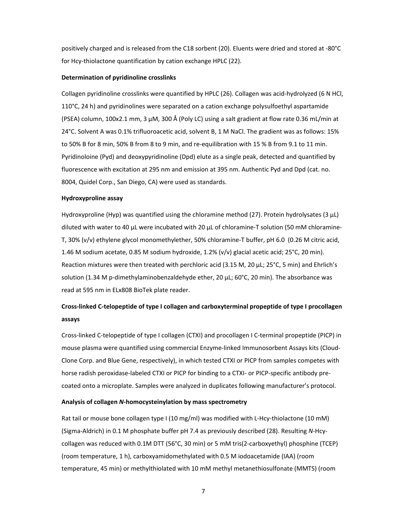positively charged and is released from the C18 sorbent (20). Eluents were dried and stored at -80°C for Hcy-thiolactone quantification by cation exchange HPLC (22).

#### **Determination of pyridinoline crosslinks**

Collagen pyridinoline crosslinks were quantified by HPLC (26). Collagen was acid-hydrolyzed (6 N HCl, 110°C, 24 h) and pyridinolines were separated on a cation exchange polysulfoethyl aspartamide (PSEA) column, 100x2.1 mm, 3 µM, 300 Å (Poly LC) using a salt gradient at flow rate 0.36 mL/min at 24°C. Solvent A was 0.1% trifluoroacetic acid, solvent B, 1 M NaCl. The gradient was as follows: 15% to 50% B for 8 min, 50% B from 8 to 9 min, and re-equilibration with 15 % B from 9.1 to 11 min. Pyridinoloine (Pyd) and deoxypyridinoline (Dpd) elute as a single peak, detected and quantified by fluorescence with excitation at 295 nm and emission at 395 nm. Authentic Pyd and Dpd (cat. no. 8004, Quidel Corp., San Diego, CA) were used as standards.

#### **Hydroxyproline assay**

Hydroxyproline (Hyp) was quantified using the chloramine method (27). Protein hydrolysates (3  $\mu$ L) diluted with water to 40 µL were incubated with 20 µL of chloramine-T solution (50 mM chloramine-T, 30% (v/v) ethylene glycol monomethylether, 50% chloramine-T buffer, pH 6.0 (0.26 M citric acid, 1.46 M sodium acetate, 0.85 M sodium hydroxide, 1.2% (v/v) glacial acetic acid; 25°C, 20 min). Reaction mixtures were then treated with perchloric acid (3.15 M, 20 µL; 25°C, 5 min) and Ehrlich's solution (1.34 M p-dimethylaminobenzaldehyde ether, 20  $\mu$ L; 60°C, 20 min). The absorbance was read at 595 nm in ELx808 BioTek plate reader.

# **Cross-linked C-telopeptide of type I collagen and carboxyterminal propeptide of type I procollagen assays**

Cross-linked C-telopeptide of type I collagen (CTXI) and procollagen I C-terminal propeptide (PICP) in mouse plasma were quantified using commercial Enzyme-linked Immunosorbent Assays kits (Cloud-Clone Corp. and Blue Gene, respectively), in which tested CTXI or PICP from samples competes with horse radish peroxidase-labeled CTXI or PICP for binding to a CTXI- or PICP-specific antibody precoated onto a microplate. Samples were analyzed in duplicates following manufacturer's protocol.

#### **Analysis of collagen** *N***-homocysteinylation by mass spectrometry**

Rat tail or mouse bone collagen type I (10 mg/ml) was modified with L-Hcy-thiolactone (10 mM) (Sigma-Aldrich) in 0.1 M phosphate buffer pH 7.4 as previously described (28). Resulting *N*-Hcycollagen was reduced with 0.1M DTT (56°C, 30 min) or 5 mM tris(2-carboxyethyl) phosphine (TCEP) (room temperature, 1 h), carboxyamidomethylated with 0.5 M iodoacetamide (IAA) (room temperature, 45 min) or methylthiolated with 10 mM methyl metanethiosulfonate (MMTS) (room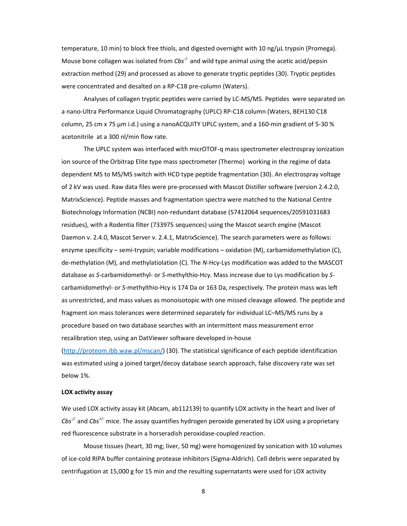temperature, 10 min) to block free thiols, and digested overnight with 10 ng/µL trypsin (Promega). Mouse bone collagen was isolated from *Cbs*-/- and wild type animal using the acetic acid/pepsin extraction method (29) and processed as above to generate tryptic peptides (30). Tryptic peptides were concentrated and desalted on a RP-C18 pre-column (Waters).

Analyses of collagen tryptic peptides were carried by LC-MS/MS. Peptides were separated on a nano-Ultra Performance Liquid Chromatography (UPLC) RP-C18 column (Waters, BEH130 C18 column, 25 cm x 75 µm i.d.) using a nanoACQUITY UPLC system, and a 160-min gradient of 5-30 % acetonitrile at a 300 nl/min flow rate.

The UPLC system was interfaced with micrOTOF-q mass spectrometer electrospray ionization ion source of the Orbitrap Elite type mass spectrometer (Thermo) working in the regime of data dependent MS to MS/MS switch with HCD type peptide fragmentation (30). An electrospray voltage of 2 kV was used. Raw data files were pre-processed with Mascot Distiller software (version 2.4.2.0, MatrixScience). Peptide masses and fragmentation spectra were matched to the National Centre Biotechnology Information (NCBI) non-redundant database (57412064 sequences/20591031683 residues), with a Rodentia filter (733975 sequences) using the Mascot search engine (Mascot Daemon v. 2.4.0, Mascot Server v. 2.4.1, MatrixScience). The search parameters were as follows: enzyme specificity – semi-trypsin; variable modifications – oxidation (M), carbamidomethylation (C), de-methylation (M), and methylatiolation (C). The *N*-Hcy-Lys modification was added to the MASCOT database as *S*-carbamidomethyl- or *S*-methylthio-Hcy. Mass increase due to Lys modification by *S*carbamidomethyl- or *S*-methylthio-Hcy is 174 Da or 163 Da, respectively. The protein mass was left as unrestricted, and mass values as monoisotopic with one missed cleavage allowed. The peptide and fragment ion mass tolerances were determined separately for individual LC–MS/MS runs by a procedure based on two database searches with an intermittent mass measurement error recalibration step, using an DatViewer software developed in-house (http://proteom.ibb.waw.pl/mscan/) (30). The statistical significance of each peptide identification was estimated using a joined target/decoy database search approach, false discovery rate was set

#### **LOX activity assay**

below 1%.

We used LOX activity assay kit (Abcam, ab112139) to quantify LOX activity in the heart and liver of *Cbs-/-* and *Cbs*+/- mice. The assay quantifies hydrogen peroxide generated by LOX using a proprietary red fluorescence substrate in a horseradish peroxidase-coupled reaction.

Mouse tissues (heart, 30 mg; liver, 50 mg) were homogenized by sonication with 10 volumes of ice-cold RIPA buffer containing protease inhibitors (Sigma-Aldrich). Cell debris were separated by centrifugation at 15,000 g for 15 min and the resulting supernatants were used for LOX activity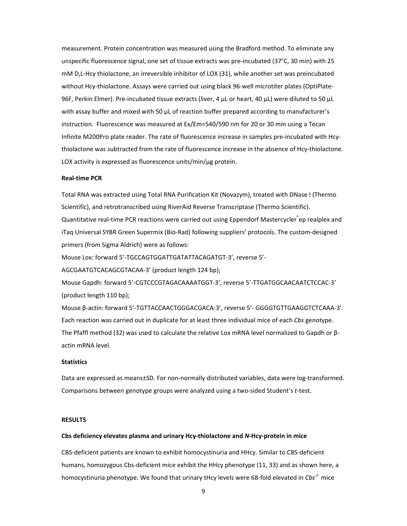measurement. Protein concentration was measured using the Bradford method. To eliminate any unspecific fluorescence signal, one set of tissue extracts was pre-incubated (37°C, 30 min) with 25 mM D,L-Hcy thiolactone, an irreversible inhibitor of LOX (31), while another set was preincubated without Hcy-thiolactone. Assays were carried out using black 96-well microtiter plates (OptiPlate-96F, Perkin Elmer). Pre-incubated tissue extracts (liver, 4 µL or heart, 40 µL) were diluted to 50 µL with assay buffer and mixed with 50  $\mu$ L of reaction buffer prepared according to manufacturer's instruction. Fluorescence was measured at Ex/Em=540/590 nm for 20 or 30 min using a Tecan Infinite M200Pro plate reader. The rate of fluorescence increase in samples pre-incubated with Hcythiolactone was subtracted from the rate of fluorescence increase in the absence of Hcy-thiolactone. LOX activity is expressed as fluorescence units/min/ug protein.

#### **Real-time PCR**

Total RNA was extracted using Total RNA Purification Kit (Novazym), treated with DNase I (Thermo Scientific), and retrotranscribed using RiverAid Reverse Transcriptase (Thermo Scientific). Quantitative real-time PCR reactions were carried out using Eppendorf Mastercycler<sup>®</sup>ep realplex and iTaq Universal SYBR Green Supermix (Bio-Rad) following suppliers' protocols. The custom-designed primers (from Sigma Aldrich) were as follows:

Mouse Lox: forward 5'-TGCCAGTGGATTGATATTACAGATGT-3', reverse 5'-

AGCGAATGTCACAGCGTACAA-3' (product length 124 bp);

Mouse Gapdh: forward 5'-CGTCCCGTAGACAAAATGGT-3', reverse 5'-TTGATGGCAACAATCTCCAC-3' (product length 110 bp);

Mouse β-actin: forward 5'-TGTTACCAACTGGGACGACA-3', reverse 5'- GGGGTGTTGAAGGTCTCAAA-3'. Each reaction was carried out in duplicate for at least three individual mice of each *Cbs* genotype. The Pfaffl method (32) was used to calculate the relative Lox mRNA level normalized to Gapdh or βactin mRNA level.

# **Statistics**

Data are expressed as means±SD. For non-normally distributed variables, data were log-transformed. Comparisons between genotype groups were analyzed using a two-sided Student's *t*-test.

# **RESULTS**

#### **Cbs deficiency elevates plasma and urinary Hcy-thiolactone and** *N***-Hcy-protein in mice**

CBS-deficient patients are known to exhibit homocystinuria and HHcy. Similar to CBS-deficient humans, homozygous Cbs-deficient mice exhibit the HHcy phenotype (11, 33) and as shown here, a homocystinuria phenotype. We found that urinary tHcy levels were 68-fold elevated in *Cbs<sup>-/-</sup>* mice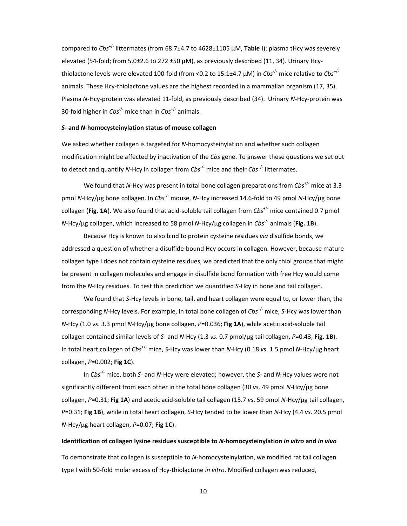compared to *Cbs*+/- littermates (from 68.7±4.7 to 4628±1105 μM, **Table I**); plasma tHcy was severely elevated (54-fold; from 5.0±2.6 to 272 ±50 μM), as previously described (11, 34). Urinary Hcythiolactone levels were elevated 100-fold (from <0.2 to 15.1±4.7 μM) in *Cbs*-/- mice relative to *Cbs*+/ animals. These Hcy-thiolactone values are the highest recorded in a mammalian organism (17, 35). Plasma *N*-Hcy-protein was elevated 11-fold, as previously described (34). Urinary *N*-Hcy-protein was 30-fold higher in *Cbs*-/- mice than in *Cbs*+/- animals.

# *S***- and** *N***-homocysteinylation status of mouse collagen**

We asked whether collagen is targeted for *N*-homocysteinylation and whether such collagen modification might be affected by inactivation of the *Cbs* gene. To answer these questions we set out to detect and quantify *N*-Hcy in collagen from *Cbs*-/- mice and their *Cbs*+/- littermates.

We found that *N*-Hcy was present in total bone collagen preparations from *Cbs*+/- mice at 3.3 pmol *N*-Hcy/μg bone collagen. In *Cbs*-/- mouse, *N*-Hcy increased 14.6-fold to 49 pmol *N*-Hcy/μg bone collagen (**Fig. 1A**). We also found that acid-soluble tail collagen from *Cbs*+/- mice contained 0.7 pmol *N*-Hcy/μg collagen, which increased to 58 pmol *N*-Hcy/μg collagen in *Cbs*-/- animals (**Fig. 1B**).

Because Hcy is known to also bind to protein cysteine residues *via* disulfide bonds, we addressed a question of whether a disulfide-bound Hcy occurs in collagen. However, because mature collagen type I does not contain cysteine residues, we predicted that the only thiol groups that might be present in collagen molecules and engage in disulfide bond formation with free Hcy would come from the *N*-Hcy residues. To test this prediction we quantified *S*-Hcy in bone and tail collagen.

We found that *S*-Hcy levels in bone, tail, and heart collagen were equal to, or lower than, the corresponding *N*-Hcy levels. For example, in total bone collagen of *Cbs*+/- mice, *S*-Hcy was lower than *N*-Hcy (1.0 *vs*. 3.3 pmol *N*-Hcy/μg bone collagen, *P*=0.036; **Fig 1A**), while acetic acid-soluble tail collagen contained similar levels of *S*- and *N*-Hcy (1.3 *vs*. 0.7 pmol/μg tail collagen, *P*=0.43; **Fig. 1B**). In total heart collagen of *Cbs*+/- mice, *S*-Hcy was lower than *N*-Hcy (0.18 *vs*. 1.5 pmol *N*-Hcy/μg heart collagen, *P*=0.002; **Fig 1C**).

In *Cbs*-/- mice, both *S*- and *N*-Hcy were elevated; however, the *S*- and *N*-Hcy values were not significantly different from each other in the total bone collagen (30 *vs*. 49 pmol *N*-Hcy/μg bone collagen, *P*=0.31; **Fig 1A**) and acetic acid-soluble tail collagen (15.7 *vs*. 59 pmol *N*-Hcy/μg tail collagen, *P*=0.31; **Fig 1B**), while in total heart collagen, *S*-Hcy tended to be lower than *N*-Hcy (4.4 *vs*. 20.5 pmol *N*-Hcy/μg heart collagen, *P*=0.07; **Fig 1C**).

#### **Identification of collagen lysine residues susceptible to** *N***-homocysteinylation** *in vitro* **and** *in vivo*

To demonstrate that collagen is susceptible to *N*-homocysteinylation, we modified rat tail collagen type I with 50-fold molar excess of Hcy-thiolactone *in vitro*. Modified collagen was reduced,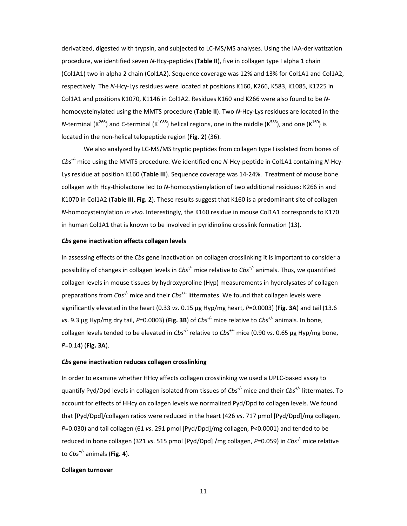derivatized, digested with trypsin, and subjected to LC-MS/MS analyses. Using the IAA-derivatization procedure, we identified seven *N*-Hcy-peptides (**Table II**), five in collagen type I alpha 1 chain (Col1A1) two in alpha 2 chain (Col1A2). Sequence coverage was 12% and 13% for Col1A1 and Col1A2, respectively. The *N*-Hcy-Lys residues were located at positions K160, K266, K583, K1085, K1225 in Col1A1 and positions K1070, K1146 in Col1A2. Residues K160 and K266 were also found to be *N*homocysteinylated using the MMTS procedure (**Table II**). Two *N*-Hcy-Lys residues are located in the *N*-terminal ( $K^{266}$ ) and *C*-terminal ( $K^{1085}$ ) helical regions, one in the middle ( $K^{583}$ ), and one ( $K^{160}$ ) is located in the non-helical telopeptide region (**Fig. 2**) (36).

We also analyzed by LC-MS/MS tryptic peptides from collagen type I isolated from bones of *Cbs*-/- mice using the MMTS procedure. We identified one *N*-Hcy-peptide in Col1A1 containing *N*-Hcy-Lys residue at position K160 (**Table III**). Sequence coverage was 14-24%. Treatment of mouse bone collagen with Hcy-thiolactone led to *N*-homocystienylation of two additional residues: K266 in and K1070 in Col1A2 (**Table III**, **Fig. 2**). These results suggest that K160 is a predominant site of collagen *N*-homocysteinylation *in vivo*. Interestingly, the K160 residue in mouse Col1A1 corresponds to K170 in human Col1A1 that is known to be involved in pyridinoline crosslink formation (13).

# *Cbs* **gene inactivation affects collagen levels**

In assessing effects of the *Cbs* gene inactivation on collagen crosslinking it is important to consider a possibility of changes in collagen levels in *Cbs*-/- mice relative to *Cbs*+/- animals. Thus, we quantified collagen levels in mouse tissues by hydroxyproline (Hyp) measurements in hydrolysates of collagen preparations from *Cbs*-/- mice and their *Cbs*+/- littermates. We found that collagen levels were significantly elevated in the heart (0.33 *vs*. 0.15 μg Hyp/mg heart, *P*=0.0003) (**Fig. 3A**) and tail (13.6 *vs*. 9.3 μg Hyp/mg dry tail, *P*=0.0003) (**Fig. 3B**) of *Cbs*-/- mice relative to *Cbs*+/- animals. In bone, collagen levels tended to be elevated in *Cbs*-/- relative to *Cbs*+/- mice (0.90 *vs*. 0.65 μg Hyp/mg bone, *P*=0.14) (**Fig. 3A**).

# *Cbs* **gene inactivation reduces collagen crosslinking**

In order to examine whether HHcy affects collagen crosslinking we used a UPLC-based assay to quantify Pyd/Dpd levels in collagen isolated from tissues of *Cbs*-/- mice and their *Cbs*+/- littermates. To account for effects of HHcy on collagen levels we normalized Pyd/Dpd to collagen levels. We found that [Pyd/Dpd]/collagen ratios were reduced in the heart (426 *vs*. 717 pmol [Pyd/Dpd]/mg collagen, *P*=0.030) and tail collagen (61 *vs*. 291 pmol [Pyd/Dpd]/mg collagen, P<0.0001) and tended to be reduced in bone collagen (321 *vs*. 515 pmol [Pyd/Dpd] /mg collagen, *P*=0.059) in *Cbs*-/- mice relative to *Cbs*+/- animals (**Fig. 4**).

#### **Collagen turnover**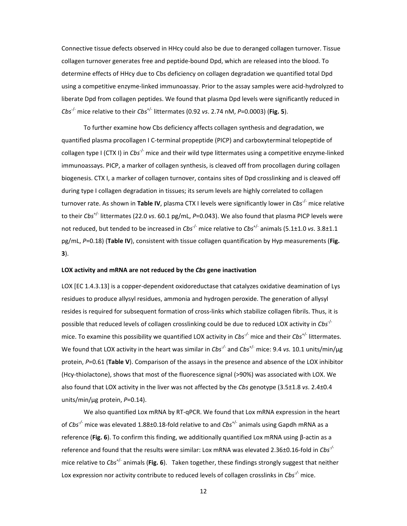Connective tissue defects observed in HHcy could also be due to deranged collagen turnover. Tissue collagen turnover generates free and peptide-bound Dpd, which are released into the blood. To determine effects of HHcy due to Cbs deficiency on collagen degradation we quantified total Dpd using a competitive enzyme-linked immunoassay. Prior to the assay samples were acid-hydrolyzed to liberate Dpd from collagen peptides. We found that plasma Dpd levels were significantly reduced in *Cbs*-/- mice relative to their *Cbs*+/- littermates (0.92 *vs*. 2.74 nM, *P*=0.0003) (**Fig. 5**).

To further examine how Cbs deficiency affects collagen synthesis and degradation, we quantified plasma procollagen I C-terminal propeptide (PICP) and carboxyterminal telopeptide of collagen type I (CTX I) in *Cbs*-/- mice and their wild type littermates using a competitive enzyme-linked immunoassays. PICP, a marker of collagen synthesis, is cleaved off from procollagen during collagen biogenesis. CTX I, a marker of collagen turnover, contains sites of Dpd crosslinking and is cleaved off during type I collagen degradation in tissues; its serum levels are highly correlated to collagen turnover rate. As shown in **Table IV**, plasma CTX I levels were significantly lower in *Cbs*-/- mice relative to their *Cbs*+/- littermates (22.0 *vs*. 60.1 pg/mL, *P*=0.043). We also found that plasma PICP levels were not reduced, but tended to be increased in *Cbs<sup>-/-</sup>* mice relative to *Cbs<sup>+/-</sup>* animals (5.1±1.0 *vs*. 3.8±1.1 pg/mL, *P*=0.18) (**Table IV**), consistent with tissue collagen quantification by Hyp measurements (**Fig. 3**).

# **LOX activity and mRNA are not reduced by the** *Cbs* **gene inactivation**

LOX [EC 1.4.3.13] is a copper-dependent oxidoreductase that catalyzes oxidative deamination of Lys residues to produce allysyl residues, ammonia and hydrogen peroxide. The generation of allysyl resides is required for subsequent formation of cross-links which stabilize collagen fibrils. Thus, it is possible that reduced levels of collagen crosslinking could be due to reduced LOX activity in *Cbs*-/ mice. To examine this possibility we quantified LOX activity in *Cbs-/-* mice and their *Cbs*+/- littermates. We found that LOX activity in the heart was similar in *Cbs<sup>-/-</sup>* and *Cbs<sup>+/-</sup>* mice: 9.4 *vs.* 10.1 units/min/µg protein, *P*=0.61 (**Table V**). Comparison of the assays in the presence and absence of the LOX inhibitor (Hcy-thiolactone), shows that most of the fluorescence signal (>90%) was associated with LOX. We also found that LOX activity in the liver was not affected by the *Cbs* genotype (3.5±1.8 *vs*. 2.4±0.4 units/min/µg protein, *P*=0.14).

We also quantified Lox mRNA by RT-qPCR. We found that Lox mRNA expression in the heart of *Cbs-/-* mice was elevated 1.88±0.18-fold relative to and *Cbs*+/- animals using Gapdh mRNA as a reference (**Fig. 6**). To confirm this finding, we additionally quantified Lox mRNA using β-actin as a reference and found that the results were similar: Lox mRNA was elevated 2.36±0.16-fold in *Cbs-/* mice relative to *Cbs*+/- animals (**Fig. 6**). Taken together, these findings strongly suggest that neither Lox expression nor activity contribute to reduced levels of collagen crosslinks in *Cbs-/-* mice.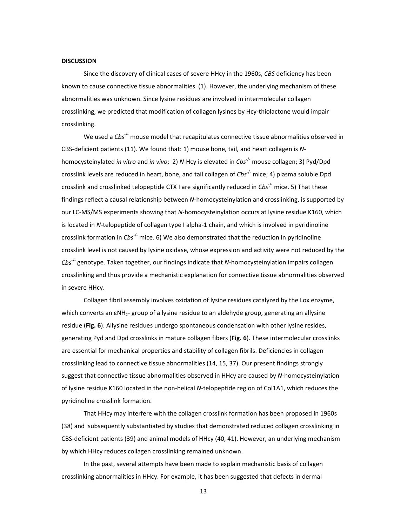#### **DISCUSSION**

Since the discovery of clinical cases of severe HHcy in the 1960s, *CBS* deficiency has been known to cause connective tissue abnormalities (1). However, the underlying mechanism of these abnormalities was unknown. Since lysine residues are involved in intermolecular collagen crosslinking, we predicted that modification of collagen lysines by Hcy-thiolactone would impair crosslinking.

We used a *Cbs<sup>-/-</sup>* mouse model that recapitulates connective tissue abnormalities observed in CBS-deficient patients (11). We found that: 1) mouse bone, tail, and heart collagen is *N*homocysteinylated *in vitro* and *in vivo*; 2) *N*-Hcy is elevated in *Cbs*-/- mouse collagen; 3) Pyd/Dpd crosslink levels are reduced in heart, bone, and tail collagen of *Cbs<sup>-/-</sup>* mice; 4) plasma soluble Dpd crosslink and crosslinked telopeptide CTX I are significantly reduced in *Cbs*-/- mice. 5) That these findings reflect a causal relationship between *N*-homocysteinylation and crosslinking, is supported by our LC-MS/MS experiments showing that *N*-homocysteinylation occurs at lysine residue K160, which is located in *N*-telopeptide of collagen type I alpha-1 chain, and which is involved in pyridinoline crosslink formation in *Cbs*-/- mice. 6) We also demonstrated that the reduction in pyridinoline crosslink level is not caused by lysine oxidase, whose expression and activity were not reduced by the *Cbs*-/- genotype. Taken together, our findings indicate that *N*-homocysteinylation impairs collagen crosslinking and thus provide a mechanistic explanation for connective tissue abnormalities observed in severe HHcy.

Collagen fibril assembly involves oxidation of lysine residues catalyzed by the Lox enzyme, which converts an  $\epsilon NH_2$ - group of a lysine residue to an aldehyde group, generating an allysine residue (**Fig. 6**). Allysine residues undergo spontaneous condensation with other lysine resides, generating Pyd and Dpd crosslinks in mature collagen fibers (**Fig. 6**). These intermolecular crosslinks are essential for mechanical properties and stability of collagen fibrils. Deficiencies in collagen crosslinking lead to connective tissue abnormalities (14, 15, 37). Our present findings strongly suggest that connective tissue abnormalities observed in HHcy are caused by *N*-homocysteinylation of lysine residue K160 located in the non-helical *N*-telopeptide region of Col1A1, which reduces the pyridinoline crosslink formation.

That HHcy may interfere with the collagen crosslink formation has been proposed in 1960s (38) and subsequently substantiated by studies that demonstrated reduced collagen crosslinking in CBS-deficient patients (39) and animal models of HHcy (40, 41). However, an underlying mechanism by which HHcy reduces collagen crosslinking remained unknown.

In the past, several attempts have been made to explain mechanistic basis of collagen crosslinking abnormalities in HHcy. For example, it has been suggested that defects in dermal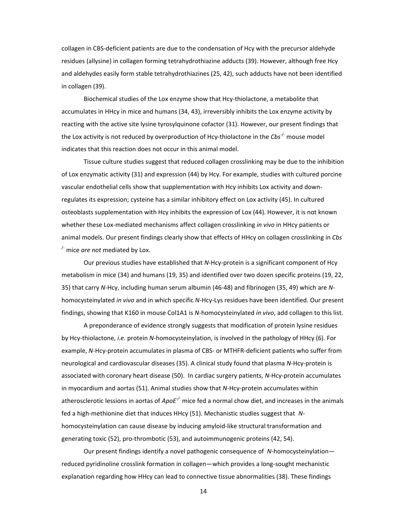collagen in CBS-deficient patients are due to the condensation of Hcy with the precursor aldehyde residues (allysine) in collagen forming tetrahydrothiazine adducts (39). However, although free Hcy and aldehydes easily form stable tetrahydrothiazines (25, 42), such adducts have not been identified in collagen (39).

Biochemical studies of the Lox enzyme show that Hcy-thiolactone, a metabolite that accumulates in HHcy in mice and humans (34, 43), irreversibly inhibits the Lox enzyme activity by reacting with the active site lysine tyrosylquinone cofactor (31). However, our present findings that the Lox activity is not reduced by overproduction of Hcy-thiolactone in the *Cbs<sup>-/-</sup>* mouse model indicates that this reaction does not occur in this animal model.

Tissue culture studies suggest that reduced collagen crosslinking may be due to the inhibition of Lox enzymatic activity (31) and expression (44) by Hcy. For example, studies with cultured porcine vascular endothelial cells show that supplementation with Hcy inhibits Lox activity and downregulates its expression; cysteine has a similar inhibitory effect on Lox activity (45). In cultured osteoblasts supplementation with Hcy inhibits the expression of Lox (44). However, it is not known whether these Lox-mediated mechanisms affect collagen crosslinking *in vivo* in HHcy patients or animal models. Our present findings clearly show that effects of HHcy on collagen crosslinking in *Cbs*- /- mice *are not* mediated by Lox.

Our previous studies have established that *N*-Hcy-protein is a significant component of Hcy metabolism in mice (34) and humans (19, 35) and identified over two dozen specific proteins (19, 22, 35) that carry *N*-Hcy, including human serum albumin (46-48) and fibrinogen (35, 49) which are *N*homocysteinylated *in vivo* and in which specific *N*-Hcy-Lys residues have been identified. Our present findings, showing that K160 in mouse Col1A1 is *N*-homocysteinylated *in vivo*, add collagen to this list.

A preponderance of evidence strongly suggests that modification of protein lysine residues by Hcy-thiolactone, *i.e.* protein *N*-homocysteinylation, is involved in the pathology of HHcy (6). For example, *N*-Hcy-protein accumulates in plasma of CBS- or MTHFR-deficient patients who suffer from neurological and cardiovascular diseases (35). A clinical study found that plasma *N*-Hcy-protein is associated with coronary heart disease (50). In cardiac surgery patients, *N*-Hcy-protein accumulates in myocardium and aortas (51). Animal studies show that *N*-Hcy-protein accumulates within atherosclerotic lessions in aortas of *ApoE-/-* mice fed a normal chow diet, and increases in the animals fed a high-methionine diet that induces HHcy (51). Mechanistic studies suggest that *N*homocysteinylation can cause disease by inducing amyloid-like structural transformation and generating toxic (52), pro-thrombotic (53), and autoimmunogenic proteins (42, 54).

Our present findings identify a novel pathogenic consequence of *N*-homocysteinylation reduced pyridinoline crosslink formation in collagen—which provides a long-sought mechanistic explanation regarding how HHcy can lead to connective tissue abnormalities (38). These findings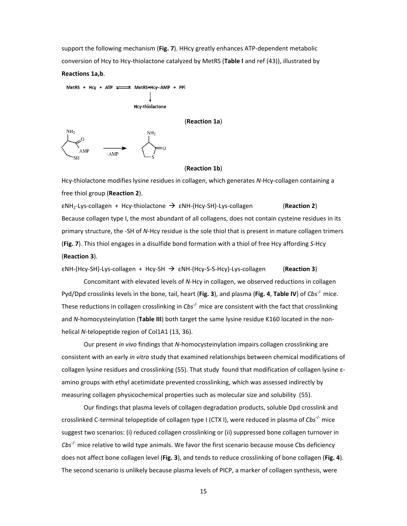support the following mechanism (**Fig. 7**). HHcy greatly enhances ATP-dependent metabolic conversion of Hcy to Hcy-thiolactone catalyzed by MetRS (**Table I** and ref (43)), illustrated by **Reactions 1a,b**.



#### (**Reaction 1b**)

Hcy-thiolactone modifies lysine residues in collagen, which generates *N*-Hcy-collagen containing a free thiol group (**Reaction 2**).

εNH2-Lys-collagen + Hcy-thiolactone εNH-(Hcy-SH)-Lys-collagen (**Reaction 2**) Because collagen type I, the most abundant of all collagens, does not contain cysteine residues in its primary structure, the -SH of *N*-Hcy residue is the sole thiol that is present in mature collagen trimers (**Fig. 7**). This thiol engages in a disulfide bond formation with a thiol of free Hcy affording *S*-Hcy (**Reaction 3**).

εNH-(Hcy-SH)-Lys-collagen + Hcy-SH εNH-(Hcy-S-S-Hcy)-Lys-collagen (**Reaction 3**) Concomitant with elevated levels of *N*-Hcy in collagen, we observed reductions in collagen Pyd/Dpd crosslinks levels in the bone, tail, heart (**Fig. 3**), and plasma (**Fig. 4**, **Table IV**) of *Cbs*-/- mice. These reductions in collagen crosslinking in *Cbs*-/- mice are consistent with the fact that crosslinking and *N*-homocysteinylation (**Table III**) both target the same lysine residue K160 located in the nonhelical *N*-telopeptide region of Col1A1 (13, 36).

Our present *in vivo* findings that *N*-homocysteinylation impairs collagen crosslinking are consistent with an early *in vitro* study that examined relationships between chemical modifications of collagen lysine residues and crosslinking (55). That study found that modification of collagen lysine εamino groups with ethyl acetimidate prevented crosslinking, which was assessed indirectly by measuring collagen physicochemical properties such as molecular size and solubility (55).

Our findings that plasma levels of collagen degradation products, soluble Dpd crosslink and crosslinked C-terminal telopeptide of collagen type I (CTX I), were reduced in plasma of *Cbs*-/- mice suggest two scenarios: (i) reduced collagen crosslinking or (ii) suppressed bone collagen turnover in *Cbs*-/- mice relative to wild type animals. We favor the first scenario because mouse Cbs deficiency does not affect bone collagen level (**Fig. 3**), and tends to reduce crosslinking of bone collagen (**Fig. 4**). The second scenario is unlikely because plasma levels of PICP, a marker of collagen synthesis, were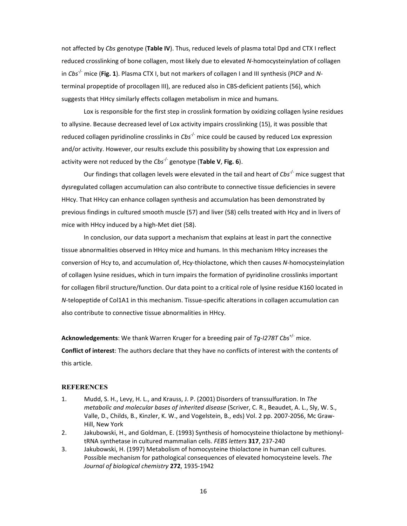not affected by *Cbs* genotype (**Table IV**). Thus, reduced levels of plasma total Dpd and CTX I reflect reduced crosslinking of bone collagen, most likely due to elevated *N*-homocysteinylation of collagen in *Cbs*-/- mice (**Fig. 1**). Plasma CTX I, but not markers of collagen I and III synthesis (PICP and *N*terminal propeptide of procollagen III), are reduced also in CBS-deficient patients (56), which suggests that HHcy similarly effects collagen metabolism in mice and humans.

Lox is responsible for the first step in crosslink formation by oxidizing collagen lysine residues to allysine. Because decreased level of Lox activity impairs crosslinking (15), it was possible that reduced collagen pyridinoline crosslinks in *Cbs*-/- mice could be caused by reduced Lox expression and/or activity. However, our results exclude this possibility by showing that Lox expression and activity were not reduced by the *Cbs*-/- genotype (**Table V**, **Fig. 6**).

Our findings that collagen levels were elevated in the tail and heart of *Cbs<sup>-/-</sup>* mice suggest that dysregulated collagen accumulation can also contribute to connective tissue deficiencies in severe HHcy. That HHcy can enhance collagen synthesis and accumulation has been demonstrated by previous findings in cultured smooth muscle (57) and liver (58) cells treated with Hcy and in livers of mice with HHcy induced by a high-Met diet (58).

In conclusion, our data support a mechanism that explains at least in part the connective tissue abnormalities observed in HHcy mice and humans. In this mechanism HHcy increases the conversion of Hcy to, and accumulation of, Hcy-thiolactone, which then causes *N*-homocysteinylation of collagen lysine residues, which in turn impairs the formation of pyridinoline crosslinks important for collagen fibril structure/function. Our data point to a critical role of lysine residue K160 located in *N*-telopeptide of Col1A1 in this mechanism. Tissue-specific alterations in collagen accumulation can also contribute to connective tissue abnormalities in HHcy.

**Acknowledgements**: We thank Warren Kruger for a breeding pair of *Tg-I278T Cbs*+/- mice. **Conflict of interest**: The authors declare that they have no conflicts of interest with the contents of this article.

# **REFERENCES**

- 1. Mudd, S. H., Levy, H. L., and Krauss, J. P. (2001) Disorders of transsulfuration. In *The metabolic and molecular bases of inherited disease* (Scriver, C. R., Beaudet, A. L., Sly, W. S., Valle, D., Childs, B., Kinzler, K. W., and Vogelstein, B., eds) Vol. 2 pp. 2007-2056, Mc Graw-Hill, New York
- 2. Jakubowski, H., and Goldman, E. (1993) Synthesis of homocysteine thiolactone by methionyltRNA synthetase in cultured mammalian cells. *FEBS letters* **317**, 237-240
- 3. Jakubowski, H. (1997) Metabolism of homocysteine thiolactone in human cell cultures. Possible mechanism for pathological consequences of elevated homocysteine levels. *The Journal of biological chemistry* **272**, 1935-1942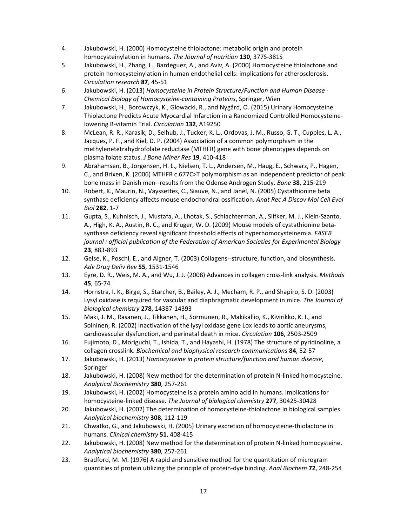- 4. Jakubowski, H. (2000) Homocysteine thiolactone: metabolic origin and protein homocysteinylation in humans. *The Journal of nutrition* **130**, 377S-381S
- 5. Jakubowski, H., Zhang, L., Bardeguez, A., and Aviv, A. (2000) Homocysteine thiolactone and protein homocysteinylation in human endothelial cells: implications for atherosclerosis. *Circulation research* **87**, 45-51
- 6. Jakubowski, H. (2013) *Homocysteine in Protein Structure/Function and Human Disease Chemical Biology of Homocysteine-containing Proteins*, Springer, Wien
- 7. Jakubowski, H., Borowczyk, K., Glowacki, R., and Nygård, O. (2015) Urinary Homocysteine Thiolactone Predicts Acute Myocardial Infarction in a Randomized Controlled Homocysteinelowering B-vitamin Trial. *Circulation* **132**, A19250
- 8. McLean, R. R., Karasik, D., Selhub, J., Tucker, K. L., Ordovas, J. M., Russo, G. T., Cupples, L. A., Jacques, P. F., and Kiel, D. P. (2004) Association of a common polymorphism in the methylenetetrahydrofolate reductase (MTHFR) gene with bone phenotypes depends on plasma folate status. *J Bone Miner Res* **19**, 410-418
- 9. Abrahamsen, B., Jorgensen, H. L., Nielsen, T. L., Andersen, M., Haug, E., Schwarz, P., Hagen, C., and Brixen, K. (2006) MTHFR c.677C>T polymorphism as an independent predictor of peak bone mass in Danish men--results from the Odense Androgen Study. *Bone* **38**, 215-219
- 10. Robert, K., Maurin, N., Vayssettes, C., Siauve, N., and Janel, N. (2005) Cystathionine beta synthase deficiency affects mouse endochondral ossification. *Anat Rec A Discov Mol Cell Evol Biol* **282**, 1-7
- 11. Gupta, S., Kuhnisch, J., Mustafa, A., Lhotak, S., Schlachterman, A., Slifker, M. J., Klein-Szanto, A., High, K. A., Austin, R. C., and Kruger, W. D. (2009) Mouse models of cystathionine betasynthase deficiency reveal significant threshold effects of hyperhomocysteinemia. *FASEB journal : official publication of the Federation of American Societies for Experimental Biology* **23**, 883-893
- 12. Gelse, K., Poschl, E., and Aigner, T. (2003) Collagens--structure, function, and biosynthesis. *Adv Drug Deliv Rev* **55**, 1531-1546
- 13. Eyre, D. R., Weis, M. A., and Wu, J. J. (2008) Advances in collagen cross-link analysis. *Methods* **45**, 65-74
- 14. Hornstra, I. K., Birge, S., Starcher, B., Bailey, A. J., Mecham, R. P., and Shapiro, S. D. (2003) Lysyl oxidase is required for vascular and diaphragmatic development in mice. *The Journal of biological chemistry* **278**, 14387-14393
- 15. Maki, J. M., Rasanen, J., Tikkanen, H., Sormunen, R., Makikallio, K., Kivirikko, K. I., and Soininen, R. (2002) Inactivation of the lysyl oxidase gene Lox leads to aortic aneurysms, cardiovascular dysfunction, and perinatal death in mice. *Circulation* **106**, 2503-2509
- 16. Fujimoto, D., Moriguchi, T., Ishida, T., and Hayashi, H. (1978) The structure of pyridinoline, a collagen crosslink. *Biochemical and biophysical research communications* **84**, 52-57
- 17. Jakubowski, H. (2013) *Homocysteine in protein structure/function and human disease*, Springer
- 18. Jakubowski, H. (2008) New method for the determination of protein N-linked homocysteine. *Analytical Biochemistry* **380**, 257-261
- 19. Jakubowski, H. (2002) Homocysteine is a protein amino acid in humans. Implications for homocysteine-linked disease. *The Journal of biological chemistry* **277**, 30425-30428
- 20. Jakubowski, H. (2002) The determination of homocysteine-thiolactone in biological samples. *Analytical biochemistry* **308**, 112-119
- 21. Chwatko, G., and Jakubowski, H. (2005) Urinary excretion of homocysteine-thiolactone in humans. *Clinical chemistry* **51**, 408-415
- 22. Jakubowski, H. (2008) New method for the determination of protein N-linked homocysteine. *Analytical biochemistry* **380**, 257-261
- 23. Bradford, M. M. (1976) A rapid and sensitive method for the quantitation of microgram quantities of protein utilizing the principle of protein-dye binding. *Anal Biochem* **72**, 248-254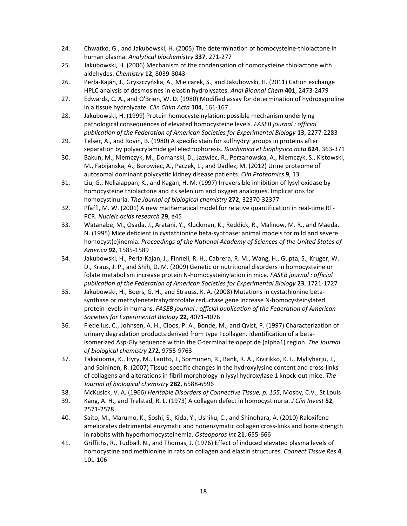- 24. Chwatko, G., and Jakubowski, H. (2005) The determination of homocysteine-thiolactone in human plasma. *Analytical biochemistry* **337**, 271-277
- 25. Jakubowski, H. (2006) Mechanism of the condensation of homocysteine thiolactone with aldehydes. *Chemistry* **12**, 8039-8043
- 26. Perła-Kaján, J., Gryszczyńska, A., Mielcarek, S., and Jakubowski, H. (2011) Cation exchange HPLC analysis of desmosines in elastin hydrolysates. *Anal Bioanal Chem* **401**, 2473-2479
- 27. Edwards, C. A., and O'Brien, W. D. (1980) Modified assay for determination of hydroxyproline in a tissue hydrolyzate. *Clin Chim Acta* **104**, 161-167
- 28. Jakubowski, H. (1999) Protein homocysteinylation: possible mechanism underlying pathological consequences of elevated homocysteine levels. *FASEB journal : official publication of the Federation of American Societies for Experimental Biology* **13**, 2277-2283
- 29. Telser, A., and Rovin, B. (1980) A specific stain for sulfhydryl groups in proteins after separation by polyacrylamide gel electrophoresis. *Biochimica et biophysica acta* **624**, 363-371
- 30. Bakun, M., Niemczyk, M., Domanski, D., Jazwiec, R., Perzanowska, A., Niemczyk, S., Kistowski, M., Fabijanska, A., Borowiec, A., Paczek, L., and Dadlez, M. (2012) Urine proteome of autosomal dominant polycystic kidney disease patients. *Clin Proteomics* **9**, 13
- 31. Liu, G., Nellaiappan, K., and Kagan, H. M. (1997) Irreversible inhibition of lysyl oxidase by homocysteine thiolactone and its selenium and oxygen analogues. Implications for homocystinuria. *The Journal of biological chemistry* **272**, 32370-32377
- 32. Pfaffl, M. W. (2001) A new mathematical model for relative quantification in real-time RT-PCR. *Nucleic acids research* **29**, e45
- 33. Watanabe, M., Osada, J., Aratani, Y., Kluckman, K., Reddick, R., Malinow, M. R., and Maeda, N. (1995) Mice deficient in cystathionine beta-synthase: animal models for mild and severe homocyst(e)inemia. *Proceedings of the National Academy of Sciences of the United States of America* **92**, 1585-1589
- 34. Jakubowski, H., Perla-Kajan, J., Finnell, R. H., Cabrera, R. M., Wang, H., Gupta, S., Kruger, W. D., Kraus, J. P., and Shih, D. M. (2009) Genetic or nutritional disorders in homocysteine or folate metabolism increase protein N-homocysteinylation in mice. *FASEB journal : official publication of the Federation of American Societies for Experimental Biology* **23**, 1721-1727
- 35. Jakubowski, H., Boers, G. H., and Strauss, K. A. (2008) Mutations in cystathionine betasynthase or methylenetetrahydrofolate reductase gene increase N-homocysteinylated protein levels in humans. *FASEB journal : official publication of the Federation of American Societies for Experimental Biology* **22**, 4071-4076
- 36. Fledelius, C., Johnsen, A. H., Cloos, P. A., Bonde, M., and Qvist, P. (1997) Characterization of urinary degradation products derived from type I collagen. Identification of a betaisomerized Asp-Gly sequence within the C-terminal telopeptide (alpha1) region. *The Journal of biological chemistry* **272**, 9755-9763
- 37. Takaluoma, K., Hyry, M., Lantto, J., Sormunen, R., Bank, R. A., Kivirikko, K. I., Myllyharju, J., and Soininen, R. (2007) Tissue-specific changes in the hydroxylysine content and cross-links of collagens and alterations in fibril morphology in lysyl hydroxylase 1 knock-out mice. *The Journal of biological chemistry* **282**, 6588-6596
- 38. McKusick, V. A. (1966) *Heritable Disorders of Connective Tissue, p. 155*, Mosby, C.V., St Louis
- 39. Kang, A. H., and Trelstad, R. L. (1973) A collagen defect in homocystinuria. *J Clin Invest* **52**, 2571-2578
- 40. Saito, M., Marumo, K., Soshi, S., Kida, Y., Ushiku, C., and Shinohara, A. (2010) Raloxifene ameliorates detrimental enzymatic and nonenzymatic collagen cross-links and bone strength in rabbits with hyperhomocysteinemia. *Osteoporos Int* **21**, 655-666
- 41. Griffiths, R., Tudball, N., and Thomas, J. (1976) Effect of induced elevated plasma levels of homocystine and methionine in rats on collagen and elastin structures. *Connect Tissue Res* **4**, 101-106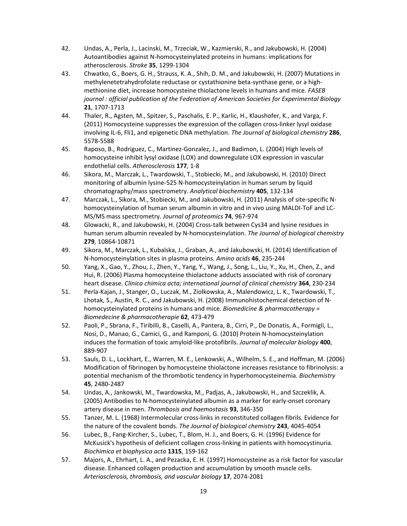- 42. Undas, A., Perla, J., Lacinski, M., Trzeciak, W., Kazmierski, R., and Jakubowski, H. (2004) Autoantibodies against N-homocysteinylated proteins in humans: implications for atherosclerosis. *Stroke* **35**, 1299-1304
- 43. Chwatko, G., Boers, G. H., Strauss, K. A., Shih, D. M., and Jakubowski, H. (2007) Mutations in methylenetetrahydrofolate reductase or cystathionine beta-synthase gene, or a highmethionine diet, increase homocysteine thiolactone levels in humans and mice. *FASEB journal : official publication of the Federation of American Societies for Experimental Biology* **21**, 1707-1713
- 44. Thaler, R., Agsten, M., Spitzer, S., Paschalis, E. P., Karlic, H., Klaushofer, K., and Varga, F. (2011) Homocysteine suppresses the expression of the collagen cross-linker lysyl oxidase involving IL-6, Fli1, and epigenetic DNA methylation. *The Journal of biological chemistry* **286**, 5578-5588
- 45. Raposo, B., Rodriguez, C., Martinez-Gonzalez, J., and Badimon, L. (2004) High levels of homocysteine inhibit lysyl oxidase (LOX) and downregulate LOX expression in vascular endothelial cells. *Atherosclerosis* **177**, 1-8
- 46. Sikora, M., Marczak, L., Twardowski, T., Stobiecki, M., and Jakubowski, H. (2010) Direct monitoring of albumin lysine-525 N-homocysteinylation in human serum by liquid chromatography/mass spectrometry. *Analytical biochemistry* **405**, 132-134
- 47. Marczak, L., Sikora, M., Stobiecki, M., and Jakubowski, H. (2011) Analysis of site-specific Nhomocysteinylation of human serum albumin in vitro and in vivo using MALDI-ToF and LC-MS/MS mass spectrometry. *Journal of proteomics* **74**, 967-974
- 48. Glowacki, R., and Jakubowski, H. (2004) Cross-talk between Cys34 and lysine residues in human serum albumin revealed by N-homocysteinylation. *The Journal of biological chemistry* **279**, 10864-10871
- 49. Sikora, M., Marczak, L., Kubalska, J., Graban, A., and Jakubowski, H. (2014) Identification of N-homocysteinylation sites in plasma proteins. *Amino acids* **46**, 235-244
- 50. Yang, X., Gao, Y., Zhou, J., Zhen, Y., Yang, Y., Wang, J., Song, L., Liu, Y., Xu, H., Chen, Z., and Hui, R. (2006) Plasma homocysteine thiolactone adducts associated with risk of coronary heart disease. *Clinica chimica acta; international journal of clinical chemistry* **364**, 230-234
- 51. Perla-Kajan, J., Stanger, O., Luczak, M., Ziolkowska, A., Malendowicz, L. K., Twardowski, T., Lhotak, S., Austin, R. C., and Jakubowski, H. (2008) Immunohistochemical detection of Nhomocysteinylated proteins in humans and mice. *Biomedicine & pharmacotherapy = Biomedecine & pharmacotherapie* **62**, 473-479
- 52. Paoli, P., Sbrana, F., Tiribilli, B., Caselli, A., Pantera, B., Cirri, P., De Donatis, A., Formigli, L., Nosi, D., Manao, G., Camici, G., and Ramponi, G. (2010) Protein N-homocysteinylation induces the formation of toxic amyloid-like protofibrils. *Journal of molecular biology* **400**, 889-907
- 53. Sauls, D. L., Lockhart, E., Warren, M. E., Lenkowski, A., Wilhelm, S. E., and Hoffman, M. (2006) Modification of fibrinogen by homocysteine thiolactone increases resistance to fibrinolysis: a potential mechanism of the thrombotic tendency in hyperhomocysteinemia. *Biochemistry* **45**, 2480-2487
- 54. Undas, A., Jankowski, M., Twardowska, M., Padjas, A., Jakubowski, H., and Szczeklik, A. (2005) Antibodies to N-homocysteinylated albumin as a marker for early-onset coronary artery disease in men. *Thrombosis and haemostasis* **93**, 346-350
- 55. Tanzer, M. L. (1968) Intermolecular cross-links in reconstituted collagen fibrils. Evidence for the nature of the covalent bonds. *The Journal of biological chemistry* **243**, 4045-4054
- 56. Lubec, B., Fang-Kircher, S., Lubec, T., Blom, H. J., and Boers, G. H. (1996) Evidence for McKusick's hypothesis of deficient collagen cross-linking in patients with homocystinuria. *Biochimica et biophysica acta* **1315**, 159-162
- 57. Majors, A., Ehrhart, L. A., and Pezacka, E. H. (1997) Homocysteine as a risk factor for vascular disease. Enhanced collagen production and accumulation by smooth muscle cells. *Arteriosclerosis, thrombosis, and vascular biology* **17**, 2074-2081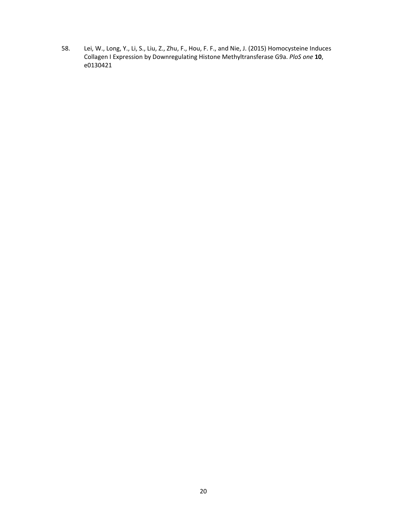58. Lei, W., Long, Y., Li, S., Liu, Z., Zhu, F., Hou, F. F., and Nie, J. (2015) Homocysteine Induces Collagen I Expression by Downregulating Histone Methyltransferase G9a. *PloS one* **10**, e0130421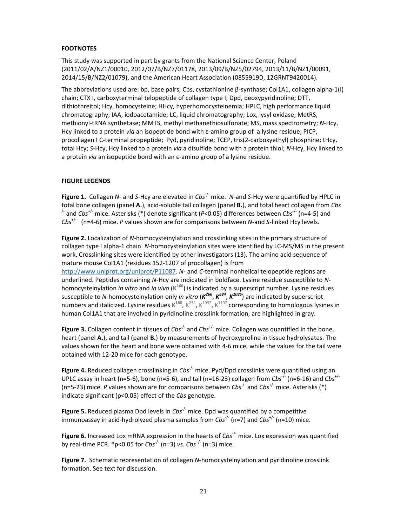# **FOOTNOTES**

This study was supported in part by grants from the National Science Center, Poland (2011/02/A/NZ1/00010, 2012/07/B/NZ7/01178, 2013/09/B/NZ5/02794, 2013/11/B/NZ1/00091, 2014/15/B/NZ2/01079), and the American Heart Association (0855919D, 12GRNT9420014).

The abbreviations used are: bp, base pairs; Cbs, cystathionine β-synthase; Col1A1, collagen alpha-1(I) chain; CTX I, carboxyterminal telopeptide of collagen type I; Dpd, deoxypyridinoline; DTT, dithiothreitol; Hcy, homocysteine; HHcy, hyperhomocysteinemia; HPLC, high performance liquid chromatography; IAA, iodoacetamide; LC, liquid chromatography; Lox, lysyl oxidase; MetRS, methionyl-tRNA synthetase; MMTS, methyl methanethiosulfonate; MS, mass spectrometry; *N*-Hcy, Hcy linked to a protein *via* an isopeptide bond with ε-amino group of a lysine residue; PICP, procollagen I C-terminal propeptide; Pyd, pyridinoline; TCEP, tris(2-carboxyethyl) phosphine; tHcy, total Hcy; *S*-Hcy, Hcy linked to a protein *via* a disulfide bond with a protein thiol; *N*-Hcy, Hcy linked to a protein *via* an isopeptide bond with an ε-amino group of a lysine residue.

# **FIGURE LEGENDS**

**Figure 1.** Collagen *N*- and *S*-Hcy are elevated in *Cbs*-/- mice. *N*-and *S*-Hcy were quantified by HPLC in total bone collagen (panel **A.**), acid-soluble tail collagen (panel **B.**), and total heart collagen from *Cbs*- /- and *Cbs*+/- mice. Asterisks (\*) denote significant (*P*<0.05) differences between *Cbs*-/- (n=4-5) and *Cbs*+/- (n=4-6) mice. *P* values shown are for comparisons between *N*-and *S*-linked Hcy levels.

**Figure 2.** Localization of *N*-homocysteinylation and crosslinking sites in the primary structure of collagen type I alpha-1 chain. *N*-homocysteinylation sites were identified by LC-MS/MS in the present work. Crosslinking sites were identified by other investigators (13). The amino acid sequence of mature mouse Col1A1 (residues 152-1207 of procollagen) is from http://www.uniprot.org/uniprot/P11087. *N*- and *C*-terminal nonhelical telopeptide regions are underlined. Peptides containing *N*-Hcy are indicated in boldface. Lysine residue susceptible to *N*homocysteinylation *in vitro* and *in vivo* (**K160**) is indicated by a superscript number. Lysine residues susceptible to *N*-homocysteinylation only *in vitro* (*K<sup>266</sup>*, *K584*, *K1085*) are indicated by superscript numbers and italicized. Lysine residues  $K^{160}$ ,  $K^{254}$ ,  $K^{1097}$ ,  $K^{1197}$  corresponding to homologous lysines in human Col1A1 that are involved in pyridinoline crosslink formation, are highlighted in gray.

**Figure 3.** Collagen content in tissues of *Cbs<sup>-/-</sup>* and *Cbs<sup>+/-</sup>* mice. Collagen was quantified in the bone, heart (panel **A.**), and tail (panel **B.**) by measurements of hydroxyproline in tissue hydrolysates. The values shown for the heart and bone were obtained with 4-6 mice, while the values for the tail were obtained with 12-20 mice for each genotype.

**Figure 4.** Reduced collagen crosslinking in *Cbs<sup>-/-</sup>* mice. Pyd/Dpd crosslinks were quantified using an UPLC assay in heart (n=5-6), bone (n=5-6), and tail (n=16-23) collagen from *Cbs<sup>-/-</sup>* (n=6-16) and *Cbs<sup>+/-</sup>* (n=5-23) mice. *P* values shown are for comparisons between *Cbs*-/- and *Cbs*+/- mice. Asterisks (\*) indicate significant (p<0.05) effect of the *Cbs* genotype.

Figure 5. Reduced plasma Dpd levels in *Cbs<sup>-/-</sup>* mice. Dpd was quantified by a competitive immunoassay in acid-hydrolyzed plasma samples from *Cbs<sup>-/-</sup>* (n=7) and *Cbs<sup>+/-</sup>* (n=10) mice.

**Figure 6.** Increased Lox mRNA expression in the hearts of *Cbs*-/- mice. Lox expression was quantified by real-time PCR.  $*$  p<0.05 for *Cbs*<sup> $\frac{1}{2}$ </sup> (n=3) *vs. Cbs*<sup> $+/-$ </sup> (n=3) mice.

**Figure 7.** Schematic representation of collagen *N*-homocysteinylation and pyridinoline crosslink formation. See text for discussion.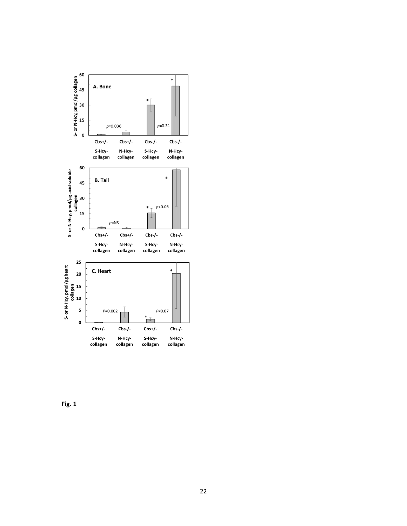

**Fig. 1**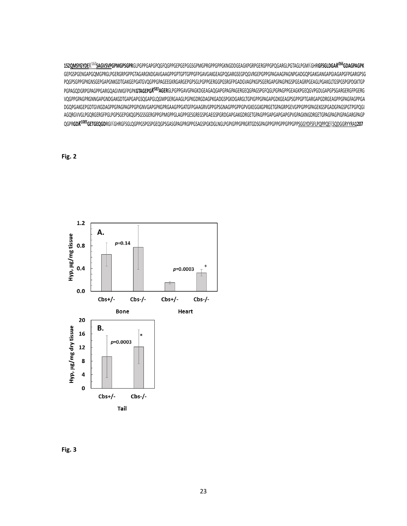**152QMSYGYDEK<sup>16</sup>***0***SAGVSVPGPMGPSGPR**GLPGPPGAPGPQGFQGPPGEPGEPGGSGPMGPRGPPGPPGKNGDDGEAGKPGRPGERGPPGPQGARGLPGTAGLPGMKGHR**GFSGLDGA***K<sup>266</sup>***GDAGPAGPK** GEPGSPGENGAPGQMGPRGLPGERGRPGPPGTAGARGNDGAVGAAGPPGPTGPTGPPGFPGAVGAKGEAGPQGARGSEGPQGVRGEPGPPGPAGAAGPAGNPGADGQPGAKGANGAPGIAGAPGFPGARGPSG PQGPSGPPGPKGNSGEPGAPGNKGDTGAKGEPGATGVQGPPGPAGEEGKRGARGEPGPSGLPGPPGERGGPGSRGFPGADGVAGPKGPSGERGAPGPAGPKGSPGEAGRPGEAGLPGAKGLTGSPGSPGPDGKTGP PGPAGQDGRPGPAGPPGARGQAGVMGFPGPK**GTAGEPG***K<sup>583</sup>***AGER**GLPGPPGAVGPAGKDGEAGAQGAPGPAGPAGERGEQGPAGSPGFQGLPGPAGPPGEAGKPGEQGVPGDLGAPGPSGARGERGFPGERG VQGPPGPAGPRGNNGAPGNDGAKGDTGAPGAPGSQGAPGLQGMPGERGAAGLPGPKGDRGDAGPKGADGSPGKDGARGLTGPIGPPGPAGAPGDKGEAGPSGPPGPTGARGAPGDRGEAGPPGPAGFAGPPGA DGQPGAKGEPGDTGVKGDAGPPGPAGPAGPPGPIGNVGAPGPKGPRGAAGPPGATGFPGAAGRVGPPGPSGNAGPPGPPGPVGKEGGKGPRGETGPAGRPGEVGPPGPPGPAGEKGSPGADGPAGSPGTPGPQGI AGQRGVVGLPGQRGERGFPGLPGPSGEPGKQGPSGSSGERGPPGPMGPPGLAGPPGESGREGSPGAEGSPGRDGAPGAKGDRGETGPAGPPGAPGAPGAPGPVGPAGKNGDRGETGPAGPAGPIGPAGARGPAGP QGPR**GD***K<sup>1085</sup>***GETGEQGD**RGIKGHRGFSGLQGPPGSPGSPGEQGPSGASGPAGPRGPPGSAGSPGKDGLNGLPGPIGPPGPRGRTGDSGPAGPPGPPGPPGPPGPPSGGYDFSFLPQPPQEKSQDGGRYYRA**1207**

# **Fig. 2**



**Fig. 3**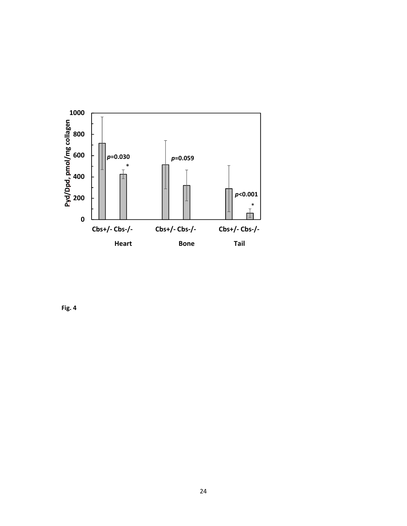

**Fig. 4**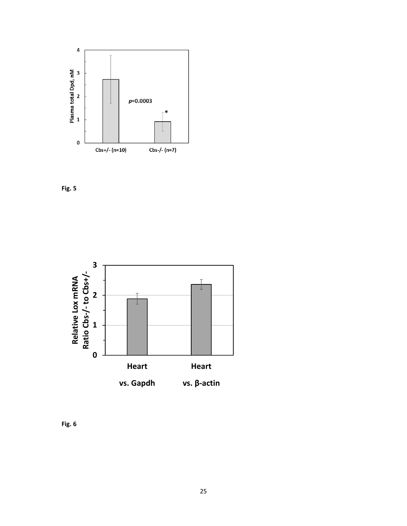





**Fig. 6**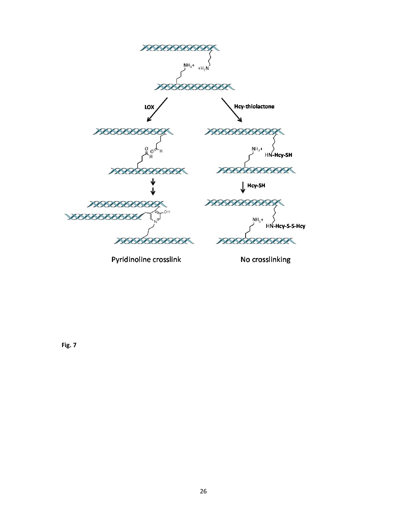

Pyridinoline crosslink

No crosslinking

**Fig. 7**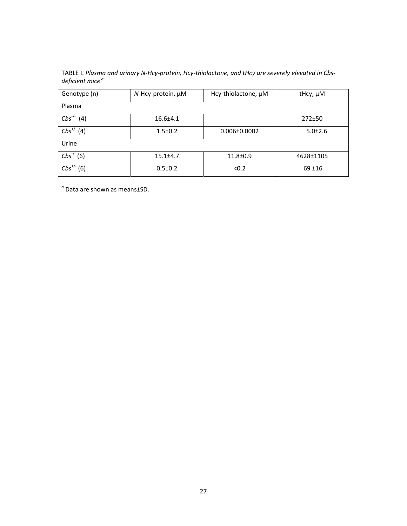| TABLE I. Plasma and urinary N-Hcy-protein, Hcy-thiolactone, and tHcy are severely elevated in Cbs- |  |
|----------------------------------------------------------------------------------------------------|--|
| deficient mice <sup>a</sup>                                                                        |  |

| Genotype (n)       | $N$ -Hcy-protein, $\mu$ M | Hcy-thiolactone, µM | tHcy, µM      |
|--------------------|---------------------------|---------------------|---------------|
| Plasma             |                           |                     |               |
| $Cbs^{-/-}$<br>(4) | $16.6{\pm}4.1$            |                     | $272 + 50$    |
| $Cbs^{+/}(4)$      | $1.5 \pm 0.2$             | $0.006 \pm 0.0002$  | $5.0 \pm 2.6$ |
| Urine              |                           |                     |               |
| $Cbs^{-/-}(6)$     | $15.1 \pm 4.7$            | $11.8 + 0.9$        | 4628±1105     |
| $Cbs^{+/}$<br>(6)  | $0.5 \pm 0.2$             | < 0.2               | $69 + 16$     |

*<sup>a</sup>* Data are shown as means±SD.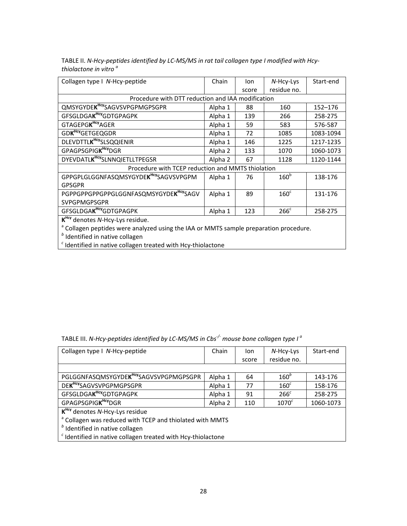| Collagen type I N-Hcy-peptide                                                                    | Chain   | lon   | N-Hcy-Lys        | Start-end   |
|--------------------------------------------------------------------------------------------------|---------|-------|------------------|-------------|
|                                                                                                  |         | score | residue no.      |             |
| Procedure with DTT reduction and IAA modification                                                |         |       |                  |             |
| QMSYGYDEK <sup>Hcy</sup> SAGVSVPGPMGPSGPR                                                        | Alpha 1 | 88    | 160              | $152 - 176$ |
| GFSGLDGAK <sup>Hcy</sup> GDTGPAGPK                                                               | Alpha 1 | 139   | 266              | 258-275     |
| GTAGEPGK <sup>Hcy</sup> AGER                                                                     | Alpha 1 | 59    | 583              | 576-587     |
| GDK <sup>Hcy</sup> GETGEQGDR                                                                     | Alpha 1 | 72    | 1085             | 1083-1094   |
| DLEVDTTLK <sup>Hcy</sup> SLSQQIENIR                                                              | Alpha 1 | 146   | 1225             | 1217-1235   |
| GPAGPSGPIGK <sup>Hcy</sup> DGR                                                                   | Alpha 2 | 133   | 1070             | 1060-1073   |
| DYEVDATLK <sup>HCY</sup> SLNNQIETLLTPEGSR                                                        | Alpha 2 | 67    | 1128             | 1120-1144   |
| Procedure with TCEP reduction and MMTS thiolation                                                |         |       |                  |             |
| GPPGPLGLGGNFASQMSYGYDEK <sup>Hcy</sup> SAGVSVPGPM                                                | Alpha 1 | 76    | 160 <sup>b</sup> | 138-176     |
| <b>GPSGPR</b>                                                                                    |         |       |                  |             |
| PGPPGPPGPPGPPGLGGNFASQMSYGYDEK <sup>Hcy</sup> SAGV                                               | Alpha 1 | 89    | 160 <sup>c</sup> | 131-176     |
| <b>SVPGPMGPSGPR</b>                                                                              |         |       |                  |             |
| GFSGLDGAK <sup>Hcy</sup> GDTGPAGPK                                                               | Alpha 1 | 123   | $266^{\circ}$    | 258-275     |
| $KHCY$ denotes N-Hcy-Lys residue.                                                                |         |       |                  |             |
| <sup>a</sup> Collagen peptides were analyzed using the IAA or MMTS sample preparation procedure. |         |       |                  |             |
| $b$ Identified in native collagen                                                                |         |       |                  |             |
| <sup>c</sup> Identified in native collagen treated with Hcy-thiolactone                          |         |       |                  |             |

TABLE II. *N-Hcy-peptides identified by LC-MS/MS in rat tail collagen type I modified with Hcythiolactone in vitro <sup>a</sup>*

| Collagen type I N-Hcy-peptide                                           | Chain   | lon   | N-Hcy-Lys        | Start-end |
|-------------------------------------------------------------------------|---------|-------|------------------|-----------|
|                                                                         |         | score | residue no.      |           |
|                                                                         |         |       |                  |           |
| PGLGGNFASQMSYGYDEK <sup>Hcy</sup> SAGVSVPGPMGPSGPR                      | Alpha 1 | 64    | $160^b$          | 143-176   |
| DEK <sup>Hcy</sup> SAGVSVPGPMGPSGPR                                     | Alpha 1 | 77    | $160^c$          | 158-176   |
| GFSGLDGAK <sup>Hcy</sup> GDTGPAGPK                                      | Alpha 1 | 91    | 266 <sup>c</sup> | 258-275   |
| GPAGPSGPIGK <sup>Hcy</sup> DGR                                          | Alpha 2 | 110   | $1070^c$         | 1060-1073 |
| K <sup>Hcy</sup> denotes N-Hcy-Lys residue                              |         |       |                  |           |
| <sup>a</sup> Collagen was reduced with TCEP and thiolated with MMTS     |         |       |                  |           |
| $b$ Identified in native collagen                                       |         |       |                  |           |
| <sup>c</sup> Identified in native collagen treated with Hcy-thiolactone |         |       |                  |           |
|                                                                         |         |       |                  |           |

TABLE III. *N-Hcy-peptides identified by LC-MS/MS in Cbs-/- mouse bone collagen type I a*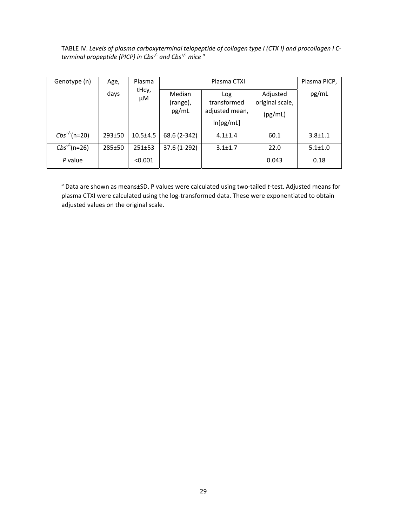TABLE IV. *Levels of plasma carboxyterminal telopeptide of collagen type I (CTX I) and procollagen I Cterminal propeptide (PICP) in Cbs-/- and Cbs+/- mice a*

| Genotype (n)      | Age,   | Plasma       |                                    | Plasma CTXI                                       |                                        | Plasma PICP,  |
|-------------------|--------|--------------|------------------------------------|---------------------------------------------------|----------------------------------------|---------------|
|                   | days   | tHcy,<br>μM  | <b>Median</b><br>(range),<br>pg/mL | Log<br>transformed<br>adjusted mean,<br>ln[pg/mL] | Adjusted<br>original scale,<br>(pg/mL) | pg/mL         |
| $Cbs^{+/}$ (n=20) | 293±50 | $10.5 + 4.5$ | 68.6 (2-342)                       | $4.1 \pm 1.4$                                     | 60.1                                   | $3.8 + 1.1$   |
| $Cbs^{-1}$ (n=26) | 285±50 | 251±53       | 37.6 (1-292)                       | $3.1 \pm 1.7$                                     | 22.0                                   | $5.1 \pm 1.0$ |
| P value           |        | < 0.001      |                                    |                                                   | 0.043                                  | 0.18          |

*a* Data are shown as means±SD. P values were calculated using two-tailed *t*-test. Adjusted means for plasma CTXI were calculated using the log-transformed data. These were exponentiated to obtain adjusted values on the original scale.